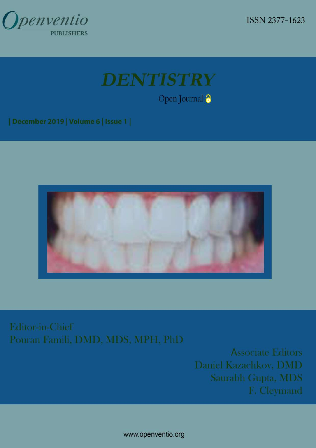

ISSN 2377-1623



Open Journal<sup>3</sup>

| December 2019 | Volume 6 | Issue 1 |



Editor-in-Chief Pouran Famili, DMD, MDS, MPH, PhD

> **Associate Editors** Daniel Kazachkov, DMD Saurabh Gupta, MDS F. Cleymand

www.openventio.org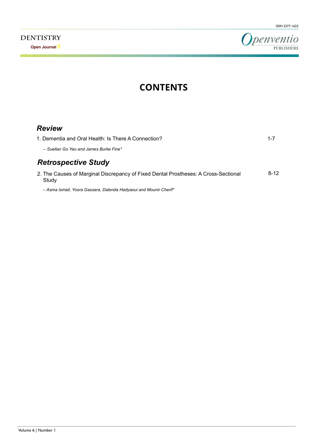

# **CONTENTS**

| <b>Review</b>                                                                       |          |
|-------------------------------------------------------------------------------------|----------|
| 1. Dementia and Oral Health: Is There A Connection?                                 | $1 - 7$  |
| - Suellan Go Yao and James Burke Fine*                                              |          |
| <b>Retrospective Study</b>                                                          |          |
| 2. The Causes of Marginal Discrepancy of Fixed Dental Prostheses: A Cross-Sectional | $8 - 12$ |

*– Asma Ismail, Yosra Gassara, Dalenda Hadyaoui and Mounir Cherif\**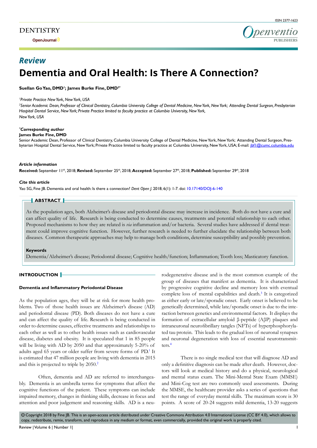**Open Journal**



# **Dementia and Oral Health: Is There A Connection?** *Review*

**Suellan Go Yao, DMD1 ; James Burke Fine, DMD2\***

#### *1 Private Practice New York, New York, USA*

*2 Senior Academic Dean, Professor of Clinical Dentistry, Columbia University College of Dental Medicine, New York, New York; Attending Dental Surgeon, Presbyterian Hospital Dental Service, New York; Private Practice limited to faculty practice at Columbia University, New York, New York, USA*

#### *\* Corresponding author*

#### **James Burke Fine, DMD**

Senior Academic Dean, Professor of Clinical Dentistry, Columbia University College of Dental Medicine, New York, New York; Attending Dental Surgeon, Presbyterian Hospital Dental Service, New York; Private Practice limited to faculty practice at Columbia University, New York, USA; E-mail: jbf1@cumc.columbia.edu

#### *Article information*

**Received:** September 11th, 2018; **Revised:** September 25th, 2018; **Accepted:** September 27th, 2018; **Published:** September 29th, 2018

#### *Cite this article*

Yao SG, Fine JB. Dementia and oral health: Is there a connection? *Dent Open J*. 2018; 6(1): 1-7. doi: [10.17140/DOJ-6-140](http://dx.doi.org/10.17140/DOJ-6-140)

# **ABSTRACT**

As the population ages, both Alzheimer's disease and periodontal disease may increase in incidence. Both do not have a cure and can affect quality of life. Research is being conducted to determine causes, treatments and potential relationship to each other. Proposed mechanisms to how they are related is *via* inflammation and/or bacteria. Several studies have addressed if dental treatment could improve cognitive function. However, further research is needed to further elucidate the relationship between both diseases. Common therapeutic approaches may help to manage both conditions, determine susceptibility and possibly prevention.

#### **Keywords**

Dementia/Alzheimer's disease; Periodontal disease; Cognitive health/function; Inflammation; Tooth loss; Masticatory function.

# **INTRODUCTION**

#### **Dementia and Inflammatory Periodontal Disease**

As the population ages, they will be at risk for more health problems. Two of those health issues are Alzheimer's disease (AD) and periodontal disease (PD). Both diseases do not have a cure and can affect the quality of life. Research is being conducted in order to determine causes, effective treatments and relationships to each other as well as to other health issues such as cardiovascular disease, diabetes and obesity. It is speculated that 1 in 85 people will be living with AD by 2050 and that approximately 5-20% of adults aged 65 years or older suffer from severe forms of PD.<sup>[1](#page-6-0)</sup> It is estimated that 47 million people are living with dementia in 2015 and this is projected to triple by 2050.[2](#page-6-1)

Often, dementia and AD are referred to interchangeably. Dementia is an umbrella terms for symptoms that affect the cognitive functions of the patient. These symptoms can include impaired memory, changes in thinking skills, decrease in focus and attention and poor judgement and reasoning skills. AD is a neurodegenerative disease and is the most common example of the group of diseases that manifest as dementia. It is characterized by progressive cognitive decline and memory loss with eventual complete loss of mental capabilities and death.<sup>[3](#page-6-2)</sup> It is categorized as either early or late/sporadic onset. Early onset is believed to be genetically determined, while late/sporadic onset is due to the interaction between genetics and environmental factors. It displays the formation of extracellular amyloid β-peptide (AβP) plaques and intraneuronal neurofibrillary tangles (NFTs) of hyperphosphorylated tau protein. This leads to the gradual loss of neuronal synapses and neuronal degeneration with loss of essential neurotransmitters.[4](#page-6-3)

There is no single medical test that will diagnose AD and only a definitive diagnosis can be made after death. However, doctors will look at medical history and do a physical, neurological and mental status exam. The Mini-Mental State Exam (MMSE) and Mini-Cog test are two commonly used assessments. During the MMSE, the healthcare provider asks a series of questions that test the range of everyday mental skills. The maximum score is 30 points. A score of 20-24 suggests mild dementia, 13-20 suggests

 $\circledcirc$  Copyright 2018 by Fine JB. This is an open-access article distributed under Creative Commons Attribution 4.0 International License (CC BY 4.0), which allows to copy, redistribute, remix, transform, and reproduce in any medium or format, even commercially, provided the original work is properly cited.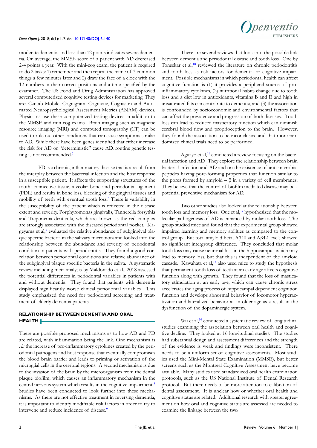moderate dementia and less than 12 points indicates severe dementia. On average, the MMSE score of a patient with AD decreased 2-4 points a year. With the mini-cog exam, the patient is required to do 2 tasks: 1) remember and then repeat the name of 3 common things a few minutes later and 2) draw the face of a clock with the 12 numbers in their correct positions and a time specified by the examiner. The US Food and Drug Administration has approved several computerized cognitive testing devices for marketing. They are: Cantab Mobile, Cognigram, Cognivue, Cognision and Automated Neuropsychological Assessment Metrics (ANAM) devices. Physicians use these computerized testing devices in addition to the MMSE and min-cog exams. Brain imaging such as magnetic resource imaging (MRI) and computed tomography (CT) can be used to rule out other conditions that can cause symptoms similar to AD. While there have been genes identified that either increase the risk for AD or "deterministic" cause AD, routine genetic tes-ting is not recommended.<sup>[5](#page-6-4)</sup>

PD is a chronic, inflammatory disease that is a result from the interplay between the bacterial infection and the host response in a susceptible patient. It affects the supporting structures of the tooth: connective tissue, alveolar bone and periodontal ligament (PDL) and results in bone loss, bleeding of the gingival tissues and mobility of teeth with eventual tooth loss.[6](#page-6-5) There is variability in the susceptibility of the patient which is reflected in the disease extent and severity. Porphyromonas gingivalis, Tannerella forsythia and Treponema denticola, which are known as the red complex are strongly associated with the diseased periodontal pocket. Ka-geyama et al,<sup>[7](#page-6-6)</sup> evaluated the relative abundance of subgingival plaque specific bacteria in the salivary microbiota and looked into the relationship between the abundance and severity of periodontal condition in patients with periodontitis. They found a good correlation between periodontal conditions and relative abundance of the subgingival plaque specific bacteria in the saliva. A systematic review including meta-analysis by Maldonado et al., 2018 assessed the potential differences in periodontal variables in patients with and without dementia. They found that patients with dementia displayed significantly worse clinical periodontal variables. This study emphasized the need for periodontal screening and treatment of elderly dementia patients.

# **RELATIONSHIP BETWEEN DEMENTIA AND ORAL HEALTH**

There are possible proposed mechanisms as to how AD and PD are related, with inflammation being the link. One mechanism is *via* the increase of pro-inflammatory cytokines created by the periodontal pathogens and host response that eventually compromises the blood brain barrier and leads to priming or activation of the microglial cells in the cerebral regions. A second mechanism is due to the invasion of the brain by the microorganism from the dental plaque biofilm, which causes an inflammatory mechanism in the central nervous system which results in the cognitive impairment.<sup>[8](#page-6-7)</sup> Studies have been conducted to look further into these mechanisms. As there are not effective treatment in reversing dementia, it is important to identify modifiable risk factors in order to try to intervene and reduce incidence of disease.<sup>[9](#page-6-8)</sup>

There are several reviews that look into the possible link between dementia and periodontal disease and tooth loss. One by Tonsekar et al,<sup>[10](#page-6-9)</sup> reviewed the literature on chronic periodontitis and tooth loss as risk factors for dementia or cognitive impairment. Possible mechanisms in which periodontal health can affect cognitive function is (1) it provides a peripheral source of proinflammatory cytokines, (2) nutritional habits change due to tooth loss and a diet low in antioxidants, vitamins B and E and high in unsaturated fats can contribute to dementia, and (3) the association is confounded by socioeconomic and environmental factors that can affect the prevalence and progression of both diseases. Tooth loss can lead to reduced masticatory function which can diminish cerebral blood flow and proprioception to the brain. However, they found the association to be inconclusive and that more randomized clinical trials need to be performed.

Aguayo et al,<sup>[11](#page-6-10)</sup> conducted a review focusing on the bacterial infection and AD. They explore the relationship between brain bacterial infection and AD and on the existence of anti-microbial peptides having pore-forming properties that function similar to the pores formed by amyloid  $-\beta$  in a variety of cell membranes. They believe that the control of biofilm mediated disease may be a potential preventive mechanism for AD.

Two other studies also looked at the relationship between tooth loss and memory loss. Oue et al,<sup>[12](#page-6-11)</sup> hypothesized that the molecular pathogenesis of AD is enhanced by molar tooth loss. The group studied mice and found that the experimental group showed impaired learning and memory abilities as compared to the control group. But total amyloid beta, Aβ40 and Aβ42 levels showed no significant intergroup difference. They concluded that molar tooth loss may cause neuronal loss in the hippocampus which may lead to memory loss, but that this is independent of the amyloid cascade. Kawahata et al,<sup>[13](#page-6-12)</sup> also used mice to study the hypothesis that permanent tooth loss of teeth at an early age affects cognitive function along with growth. They found that the loss of masticatory stimulation at an early age, which can cause chronic stress accelerates the aging process of hippocampal dependent cognition function and develops abnormal behavior of locomotor hyperactivation and lateralized behavior at an older age as a result in the dysfunction of the dopaminergic system.

Wu et al, $<sup>14</sup>$  $<sup>14</sup>$  $<sup>14</sup>$  conducted a systematic review of longitudinal</sup> studies examining the association between oral health and cognitive decline. They looked at 16 longitudinal studies. The studies had substantial design and assessment differences and the strength of the evidence is weak and findings were inconsistent. There needs to be a uniform set of cognitive assessments. Most studies used the Mini-Mental State Examination (MMSE), but better screens such as the Montreal Cognitive Assessment have become available. Many studies used standardized oral health examination protocols, such as the US National Institute of Dental Research protocol. But there needs to be more attention to calibration of dental assessment. It is unclear how or whether oral health and cognitive status are related. Additional research with greater agreement on how oral and cognitive status are assessed are needed to examine the linkage between the two.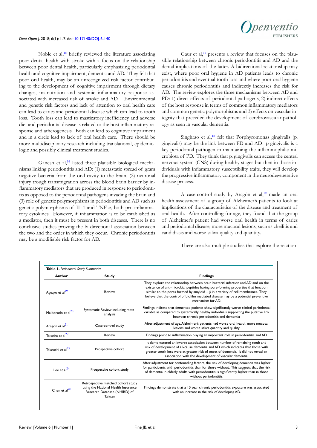Noble et al,<sup>15</sup> briefly reviewed the literature associating poor dental health with stroke with a focus on the relationship between poor dental health, particularly emphasizing periodontal health and cognitive impairment, dementia and AD. They felt that poor oral health, may be an unrecognized risk factor contributing to the development of cognitive impairment through dietary changes, malnutrition and systemic inflammatory response associated with increased risk of stroke and AD. Environmental and genetic risk factors and lack of attention to oral health care can lead to caries and periodontal disease which can lead to tooth loss. Tooth loss can lead to masticatory inefficiency and adverse diet and periodontal disease is related to the host inflammatory response and atherogenesis. Both can lead to cognitive impairment and in a circle lead to lack of oral health care. There should be more multidisciplinary research including translational, epidemiologic and possibly clinical treatment studies.

Ganesh et al,<sup>[16](#page-7-0)</sup> listed three plausible biological mechanisms linking periodontitis and AD: (1) metastatic spread of gram negative bacteria from the oral cavity to the brain, (2) neuronal injury trough transmigration across the blood brain barrier by inflammatory mediators that are produced in response to periodontitis as opposed to the periodontal pathogens invading the brain and (3) role of genetic polymorphisms in periodontitis and AD such as genetic polymorphisms of IL-1 and TNF-α, both pro-inflammatory cytokines. However, if inflammation is to be established as a mediator, then it must be present in both diseases. There is no conclusive studies proving the bi-directional association between the two and the order in which they occur. Chronic periodontitis may be a modifiable risk factor for AD.

Gaur et al, $^{17}$  $^{17}$  $^{17}$  presents a review that focuses on the plausible relationship between chronic periodontitis and AD and the dental implications of the latter. A bidirectional relationship may exist, where poor oral hygiene in AD patients leads to chronic periodontitis and eventual tooth loss and where poor oral hygiene causes chronic periodontitis and indirectly increases the risk for AD. The review explores the three mechanisms between AD and PD: 1) direct effects of periodontal pathogens, 2) indirect effects of the host response in terms of common inflammatory mediators and common genetic polymorphisms and 3) effects on vascular integrity that preceded the development of cerebrovascular pathology as seen in vascular dementia.

Singhrao et al,<sup>[18](#page-7-2)</sup> felt that Porphyromonas gingivalis (p. gingivalis) may be the link between PD and AD. p gingivalis is a key periodontal pathogen in maintaining the inflammophilic microbiota of PD. They think that p. gingivalis can access the central nervous system (CNS) during healthy stages but then in those individuals with inflammatory susceptibility traits, they will develop the progressive inflammatory component in the neurodegenerative disease process.

A case-control study by Aragón et al,<sup>[19](#page-7-3)</sup> made an oral health assessment of a group of Alzheimer's patients to look at implications of the characteristics of the disease and treatment of oral health. After controlling for age, they found that the group of Alzheimer's patient had worse oral health in terms of caries and periodontal disease, more mucosal lesions, such as cheilitis and candidiasis and worse saliva quality and quantity.

There are also multiple studies that explore the relation-

| Author                        | <b>Study</b>                                                                                                        | <b>Findings</b>                                                                                                                                                                                                                                                                                                                                                           |
|-------------------------------|---------------------------------------------------------------------------------------------------------------------|---------------------------------------------------------------------------------------------------------------------------------------------------------------------------------------------------------------------------------------------------------------------------------------------------------------------------------------------------------------------------|
| Aguayo et al <sup>19</sup>    | Review                                                                                                              | They explore the relationship between brain bacterial infection and AD and on the<br>existence of anti-microbial peptides having pore-forming properties that function<br>similar to the pores formed by amyloid $-\beta$ in a variety of cell membranes. They<br>believe that the control of biofilm mediated disease may be a potential preventive<br>mechanism for AD. |
| Maldonado et al <sup>20</sup> | Systematic Review including meta-<br>analysis                                                                       | Findings indicate that demented patients show significantly worse clinical periodontal<br>variable as compared to systemically healthy individuals supporting the putative link<br>between chronic periodontitis and dementia                                                                                                                                             |
| Aragón et al <sup>21</sup>    | Case-control study                                                                                                  | After adjustment of age, Alzheimer's patients had worse oral health, more mucosal<br>lesions and worse saliva quantity and quality                                                                                                                                                                                                                                        |
| Teixeira et al $^{22}$        | Review                                                                                                              | Findings point to inflammation playing an important role in periodontitis and AD.                                                                                                                                                                                                                                                                                         |
| Takeuchi et al <sup>23</sup>  | Prospective cohort                                                                                                  | It demonstrated an inverse association between number of remaining teeth and<br>risk of development of all-cause dementia and AD, which indicates that those with<br>greater tooth loss were at greater risk of onset of dementia. It did not reveal an<br>association with the development of vascular dementia.                                                         |
| $I$ ee et al $^{24}$          | Prospective cohort study                                                                                            | After adjustment for confounding factors, the risk of developing dementia was higher<br>for participants with periodontitis than for those without. This suggests that the risk<br>of dementia in elderly adults with periodontitis is significantly higher than in those<br>without periodontitis.                                                                       |
| Chen et $al25$                | Retrospective matched cohort study<br>using the National Health Insurance<br>Research Database (NHIRD) of<br>Taiwan | Findings demonstrate that a 10 year chronic periodontitis exposure was associated<br>with an increase in the risk of developing AD.                                                                                                                                                                                                                                       |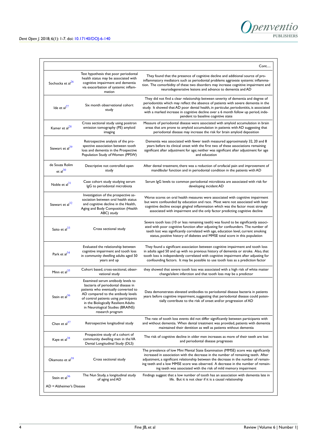

| Sochocka et al <sup>26</sup>    | Test hypothesis that poor periodontal<br>health status may be associated with<br>cognitive impairment and dementia<br>via exacerbation of systemic inflam-<br>mation                                                                                                                            | They found that the presence of cognitive decline and additional source of pro-<br>inflammatory mediators such as periodontal problems aggravate systemic inflamma-<br>tion. The comorbidity of these two disorders may increase cognitive impairment and<br>neurodegenerative lesions and advance to dementia and AD                                                                                                    |
|---------------------------------|-------------------------------------------------------------------------------------------------------------------------------------------------------------------------------------------------------------------------------------------------------------------------------------------------|--------------------------------------------------------------------------------------------------------------------------------------------------------------------------------------------------------------------------------------------------------------------------------------------------------------------------------------------------------------------------------------------------------------------------|
| Ide et $al27$                   | Six month observational cohort<br>study                                                                                                                                                                                                                                                         | They did not find a clear relationship between severity of dementia and degree of<br>periodontitis which may reflect the absence of patients with severe dementia in the<br>study. It showed that AD poor dental health, in particular, periodontitis, is associated<br>with a marked increase in cognitive decline over a 6 month follow up period, inde-<br>pendent to baseline cognitive state                        |
| Kamer et al $^{28}$             | Cross sectional study using positron<br>emission tomography (PE) amyloid<br>imaging                                                                                                                                                                                                             | Measure of periodontal disease were associated with amyloid accumulation in brain<br>areas that are prone to amyloid accumulation in patients with AD suggesting that<br>periodontal disease may increase the risk for brain amyloid deposition                                                                                                                                                                          |
| Stewart et al <sup>29</sup>     | Retrospective analysis of the pro-<br>spective association between tooth<br>loss and dementia in the Prospective<br>Population Study of Women (PPSW)                                                                                                                                            | Dementia was associated with fewer teeth measured approximately 32, 20 and 8<br>years before its clinical onset with the first two of these associations remaining<br>significant after adjustment for age; neither was significant after adjustment for age<br>and education                                                                                                                                            |
| de Souza Rolim<br>et al $^{30}$ | Descriptive not controlled open<br>study                                                                                                                                                                                                                                                        | After dental treatment, there was a reduction of orofacial pain and improvement of<br>mandibular function and in periodontal condition in the patients with AD                                                                                                                                                                                                                                                           |
| Noble et $al31$                 | Case cohort study studying serum<br>IgG to periodontal microbiota                                                                                                                                                                                                                               | Serum IgG levels to common periodontal microbiota are associated with risk for<br>developing incident AD                                                                                                                                                                                                                                                                                                                 |
| Stewart et al <sup>32</sup>     | Investigation of the prospective as-<br>sociation between oral health status<br>and cognitive decline in the Health,<br>Aging and Body Composition (Health<br>ABC) study                                                                                                                        | Worse scores on oral health measures were associated with cognitive impairment<br>but were confounded by education and race. Most were not associated with later<br>cognitive decline except gingival inflammation which was the factor most strongly<br>associated with impairment and the only factor predicting cognitive decline                                                                                     |
| Saito et al <sup>33</sup>       | Cross sectional study                                                                                                                                                                                                                                                                           | Severe tooth loss (10 or less remaining teeth) was found to be significantly associ-<br>ated with poor cognitive function after adjusting for confounders. The number of<br>teeth lost was significantly correlated with age, education level, current smoking<br>status, positive history of diabetes and MMSE total score in this population                                                                           |
| Park et al <sup>34</sup>        | Evaluated the relationship between<br>cognitive impairment and tooth loss<br>in community dwelling adults aged 50<br>years and up                                                                                                                                                               | They found a significant association between cognitive impairment and tooth loss<br>in adults aged 50 and up with no previous history of dementia or stroke. Also, that<br>tooth loss is independently correlated with cognitive impairment after adjusting for<br>confounding factors. It may be possible to use tooth loss as a prediction factor                                                                      |
| Minn et al <sup>35</sup>        | Cohort based, cross-sectional, obser-<br>vational study                                                                                                                                                                                                                                         | they showed that severe tooth loss was associated with a high risk of white matter<br>change/silent infarction and that tooth loss may be a predictor                                                                                                                                                                                                                                                                    |
| Stein et $al^{36}$              | Examined serum antibody levels to<br>bacteria of periodontal disease in<br>patients who eventually converted to<br>AD compared to the antibody levels<br>of control patients using participants<br>in the Biologically Resilient Adults<br>in Neurological Studies (BRAINS)<br>research program | Data demonstrates elevated antibodies to periodontal disease bacteria in patients<br>years before cognitive impairment, suggesting that periodontal disease could poten-<br>tially contribute to the risk of onset and/or progression of AD                                                                                                                                                                              |
| Chen et $al37$                  | Retrospective longitudinal study                                                                                                                                                                                                                                                                | The rate of tooth loss events did not differ significantly between participants with<br>and without dementia. When dental treatment was provided, patients with dementia<br>maintained their dentition as well as patients without dementia                                                                                                                                                                              |
| Kaye et al <sup>38</sup>        | Prospective study of a cohort of<br>community dwelling men in the VA<br>Dental Longitudinal Study (DLS)                                                                                                                                                                                         | The risk of cognitive decline in older men increases as more of their teeth are lost<br>and periodontal disease progresses                                                                                                                                                                                                                                                                                               |
| Okamoto et al <sup>39</sup>     | Cross sectional study                                                                                                                                                                                                                                                                           | The prevalence of low Mini Mental State Examination (MMSE) score was significantly<br>increased in association with the decrease in the number of remaining teeth. After<br>adjustment, a significant relationship between the decrease in the number of remain-<br>ing teeth and a low MMSE score was observed. A decrease in the number of remain-<br>ing teeth was associated with the risk of mild memory impairment |
| Stein et al <sup>36</sup>       | The Nun Study, a longitudinal study<br>of aging and AD                                                                                                                                                                                                                                          | Findings suggest that a low number of tooth has an association with dementia late in<br>life. But it is not clear if it is a causal relationship                                                                                                                                                                                                                                                                         |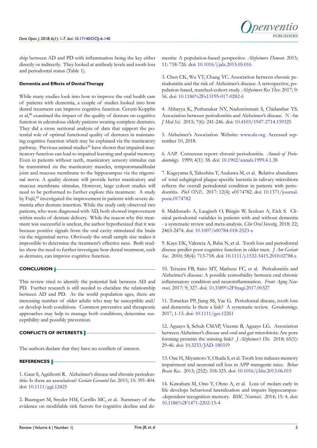ship between AD and PD with inflammation being the key either directly or indirectly. They looked at antibody levels and tooth loss and periodontal status (Table 1).

# **Dementia and Effects of Dental Therapy**

While many studies look into how to improve the oral health care of patients with dementia, a couple of studies looked into how dental treatment can improve cognitive function. Cerutti-Kopplin et al,[40](#page-8-0) examined the impact of the quality of denture on cognitive function in edentulous elderly patients wearing complete dentures. They did a cross sectional analysis of data that support the potential role of optimal functional quality of dentures in maintaining cognitive function which may be explained via the masticatory pathway. Previous animal studies<sup>[41](#page-8-1)</sup> have shown that impaired masticatory function can lead to impaired learning and spatial memory. Even in patients without teeth, masticatory sensory stimulus can be transmitted *via* the masticatory muscles, temporomandibular joint and mucous membrane to the hippocampus via the trigeminal nerve. A quality denture will provide better masticatory and mucous membrane stimulus. However, large cohort studies will need to be performed to further explore this treatment. A study by Fujii,[42](#page-8-2) investigated the improvement in patients with severe dementia after denture insertion. While the study only observed two patients, who were diagnosed with AD, both showed improvement within weeks of denture delivery. While the reason why this treatment was successful is unclear, the author hypothesized that it was because positive signals from the oral cavity stimulated the brain via the trigeminal nerve. Obviously the small sample size makes it impossible to determine the treatment's effective ness. Both studies show the need to further investigate how dental treatment, such as dentures, can improve cognitive function.

# **CONCLUSION**

This review tried to identify the potential link between AD and PD. Further research is still needed to elucidate the relationship between AD and PD. As the world population ages, there are increasing number of older adults who may be susceptible and/ or develop both conditions. Common preventive and therapeutic approaches may help to manage both conditions, determine susceptibility and possibly prevention.

# **CONFLICTS OF INTERESTS**

The authors declare that they have no conflicts of interest.

# **REFERENCES**

<span id="page-6-0"></span>1. Gaur S, Agnihotri R. Alzheimer's disease and chronic periodontitis: Is there an association? *Geriatr Gerontol Int*. 2015; 15: 391-404. doi: [10.1111/ggi.12425](https://doi.org/10.1111/ggi.12425)

<span id="page-6-1"></span>2. Baumgart M, Snyder HM, Carrillo MC, et al. Summary of the evidence on modifiable risk factors for cognitive decline and dementia: A population-based perspective. *Alzheimers Dement*. 2015; 11: 718-726. doi: [10.1016/j.jalz.2015.05.016](https://doi.org/10.1016/j.jalz.2015.05.016)

<span id="page-6-2"></span>3. Chen CK, Wu YT, Chang YC. Association between chronic periodontitis and the risk of Alzheimer's disease: A retrospective, population-based, matched-cohort study. *Alzheimers Res Ther*. 2017; 9: 56. doi: [10.1186%2Fs13195-017-0282-6](https://dx.doi.org/10.1186%252Fs13195-017-0282-6)

<span id="page-6-3"></span>4. Abbayya K, Puthanakar NY, Naduwinmani S, Chidambar YS. Association between periodontitis and Alzheimer's disease. *N Am J Med Sci*. 2015; 7(6): 241-246. doi: [10.4103/1947-2714.159325](https://doi.org/10.4103/1947-2714.159325)

<span id="page-6-4"></span>5. Alzheimer's Association. Website: [www.alz.org.](www.alz.org) Accessed september 10, 2018.

<span id="page-6-5"></span>6. AAP. Consensus report: chronic periodontitis. *Annals of Periodontology*. 1999; 4(1): 38. doi: [10.1902/annals.1999.4.1.38](https://doi.org/10.1902/annals.1999.4.1.38)

<span id="page-6-6"></span>7. Kageyama S, Takeshita T, Asakawa M, et al. Relative abundance of total subgingival plaque-specific bacteria in salivary microbiota reflects the overall periodontal condition in patients with periodontitis. *PloS ONE*. 2017: 12(4): e0174782. doi: [10.1371/journal.](https://doi.org/10.1371/journal.pone.0174782) [pone.0174782](https://doi.org/10.1371/journal.pone.0174782)

<span id="page-6-7"></span>8. Maldonado A, Laugisch O, Bürgin W, Sculean A, Eick S. Clinical periodontal variables in patients with and without dementia - a systematic review and meta-analysis. *Clin Oral Investig.* 2018: 22; 2463-2474. doi: [10.1007/s00784-018-2523-x](https://doi.org/10.1007/s00784-018-2523-x)

<span id="page-6-8"></span>9. Kaye EK, Valencia A, Baba N, et al. Tooth loss and periodontal disease predict poor cognitive function in older men. *J Am Geriatr Soc*. 2010; 58(4): 713-718. doi: [10.1111/j.1532-5415.2010.02788.x](https://doi.org/10.1111/j.1532-5415.2010.02788.x)

<span id="page-6-9"></span>10. Teixeira FB, Saito MT, Matheus FC, et al. Periodontitis and Alzheimer's disease: A possible comorbidity between oral chronic inflammatory condition and neuroinflammation. *Front Aging Neurosci*. 2017: 9; 327. doi: [10.3389%2Ffnagi.2017.00327](https://dx.doi.org/10.3389%252Ffnagi.2017.00327)

<span id="page-6-10"></span>11. Tonsekar PP, Jiang SS, Yue G. Periodontal disease, tooth loss and dementia: Is there a link? A systematic review. *Gerodontology*. 2017; 1-13. doi: [10.1111/ger.12261](https://doi.org/10.1111/ger.12261)

<span id="page-6-11"></span>12. Aguayo S, Schuh CMAP, Vicente B, Aguayo LG. Association between Alzheimer's disease and oral and gut microbiota: Are pore forming proteins the missing link? *J Alzheimer's Dis*. 2018; 65(1): 29-46. doi: [10.3233/JAD-180319](https://doi.org/10.3233/JAD-180319)

<span id="page-6-12"></span>13. Oue H, Miyamoto Y, Okada S, et al. Tooth loss induces memory impairment and neuronal cell loss in APP transgenic mice. *Behav Brain Res*. 2013; (252): 318-325. doi: [10.1016/j.bbr.2013.06.015](https://doi.org/10.1016/j.bbr.2013.06.015)

<span id="page-6-13"></span>14. Kawahata M, Ono Y, Ohno A, et al. Loss of molars early in life develops behavioral lateralization and impairs hippocampus- -dependent recognition memory. *BMC Neurosci*. 2014; 15: 4. doi: [10.1186%2F1471-2202-15-4](https://dx.doi.org/10.1186%252F1471-2202-15-4)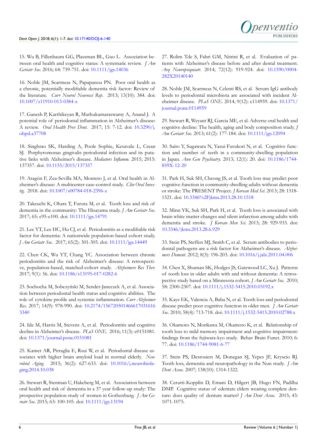15. Wu B, Fillenbaum GG, Plassman BL, Guo L. Association between oral health and cognitive status: A systematic review. *J Am Geriatr Soc*. 2016; 64: 739-751. doi: [10.1111/jgs.14036](https://doi.org/10.1111/jgs.14036)

<span id="page-7-0"></span>16. Noble JM, Scarmeas N, Papapanou PN. Poor oral health as a chronic, potentially modifiable dementia risk factor: Review of the literature. *Curr Neurol Neurosci Rep*. 2013; 13(10): 384. doi: [10.1007/s11910-013-0384-x](https://doi.org/10.1007/s11910-013-0384-x)

<span id="page-7-1"></span>17. Ganesh P, Karthikeyan R, Muthukumaraswamy A, Anand J. A potential role of periodontal inflammation in Alzheimer's disease: A review. *Oral Health Prev Dent*. 2017; 15: 7-12. doi: [10.3290/j.](https://doi.org/10.3290/j.ohpd.a37708) [ohpd.a37708](https://doi.org/10.3290/j.ohpd.a37708)

<span id="page-7-2"></span>18. Singhrao SK, Harding A, Poole Sophie, Kesavalu L, Crean SJ. Porphyromonas gingivalis periodontal infection and its putative links with Alzheimer's disease. *Mediators Inflamm*. 2015; 2015: 137357. doi: [10.1155/2015/137357](https://doi.org/10.1155/2015/137357)

<span id="page-7-3"></span>19. Aragón F, Zea-Sevilla MA, Montero J, et al. Oral health in Alzheimer's disease: A multicenter case-control study. *Clin Oral Investig*. 2018. doi: [10.1007/s00784-018-2396-z](https://doi.org/10.1007/s00784-018-2396-z)

<span id="page-7-4"></span>20. Takeuchi K, Ohara T, Furuta M, et al. Tooth loss and risk of dementia in the community: The Hisayama study. *J Am Geriatr Soc*. 2017; 65: e95-e100. doi: [10.1111/jgs.14791](https://doi.org/10.1111/jgs.14791)

<span id="page-7-5"></span>21. Lee YT, Lee HC, Hu CJ, et al. Periodontitis as a modifiable risk factor for dementia: A nationwide population-based cohort study. *J Am Geriatr Soc*. 2017; 65(2): 301-305. doi: [10.1111/jgs.14449](https://doi.org/10.1111/jgs.14449)

<span id="page-7-6"></span>22. Chen CK, Wu YT, Chang YC. Association between chronic periodontitis and the risk of Alzheimer's disease: A retrospective, population-based, matched-cohort study. *Alzheimers Res Ther*. 2017; 9(1): 56. doi: [10.1186/s13195-017-0282-6](https://doi.org/10.1186/s13195-017-0282-6)

<span id="page-7-7"></span>23. Sochocha M, Sobczyński M, Sender-Janeczek A, et al. Association between periodontal health status and cognitive abilities. The role of cytokine profile and systemic inflammation. *Curr Alzheimer Res*. 2017; 14(9): 978-990. doi: [10.2174/156720501466617031616](https://doi.org/10.2174/1567205014666170316163340) [3340](https://doi.org/10.2174/1567205014666170316163340)

<span id="page-7-8"></span>24. Ide M, Harris M, Stevens A, et al. Periodontitis and cognitive decline in Alzheimer's disease. *PLoS ONE*. 2016; 11(3): e0151081. doi: [10.1371/journal.pone.0151081](https://doi.org/10.1371/journal.pone.0151081)

<span id="page-7-9"></span>25. Kamer AR, Pirraglia E, Rsui W, et al. Periodontal disease associates with higher brain amyloid load in normal elderly. *Neurobiol Aging*. 2015; 36(2): 627-633. doi: [10.1016/j.neurobiola](https://doi.org/10.1016/j.neurobiolaging.2014.10.038)[ging.2014.10.038](https://doi.org/10.1016/j.neurobiolaging.2014.10.038)

<span id="page-7-10"></span>26. Stewart R, Stenman U, Hakeberg M, et al. Association between oral health and risk of dementia in a 37 year follow-up study: The prospective population study of women in Gothenburg. *J Am Geriatr Soc*. 2015; 63: 100-105. doi: [10.1111/jgs.13194](https://doi.org/10.1111/jgs.13194)

27. Rolim Tde S, Fabri GM, Nitrini R, et al. Evaluation of patients with Alzheimer's disease before and after dental treatment. *Arq Neuropsiquiatr*. 2014; 72(12): 919-924. doi: [10.1590/0004-](https://doi.org/10.1590/0004-282X20140140) [282X20140140](https://doi.org/10.1590/0004-282X20140140)

<span id="page-7-11"></span>28. Noble JM, Scarmeas N, Celenti RS, et al. Serum IgG antibody levels to periodontal microbiota are associated with incident Alzheimer disease. *PLoS ONE*. 2014; 9(12): e114959. doi: [10.1371/](https://doi.org/10.1371/journal.pone.0114959) [journal.pone.0114959](https://doi.org/10.1371/journal.pone.0114959)

<span id="page-7-12"></span>29. Stewart R, Weyant RJ, Garcia ME, et al. Adverse oral health and cognitive decline: The health, aging and body composition study. *J Am Geriatr Soc*. 2013; 61(2): 177-184. doi: [10.1111/jgs.12094](https://doi.org/10.1111/jgs.12094)

<span id="page-7-13"></span>30. Saito Y, Sugawara N, Yasui-Furukori N, et al. Cognitive function and number of teeth in a community-dwelling population in Japan. *Ann Gen Psychiatry*. 2013; 12(1): 20. doi: [10.1186/1744-](https://doi.org/10.1186/1744-859X-12-20) [859X-12-20](https://doi.org/10.1186/1744-859X-12-20)

<span id="page-7-14"></span>31. Park H, Suk SH, Cheong JS, et al. Tooth loss may predict poor cognitive function in community-dwelling adults without dementia or stroke: The PRESENT Project. *J Korean Med Sci*. 2013; 28: 1518- 1521. doi: [10.3346%2Fjkms.2013.28.10.1518](https://dx.doi.org/10.3346%252Fjkms.2013.28.10.1518)

<span id="page-7-15"></span>32. Minn YK, Suk SH, Park H, et al. Tooth loss is associated with brain white matter changes and silent infarction among adults with dementia and stroke. *J Korean Men Sci*. 2013; 28: 929-933. doi: [10.3346/jkms.2013.28.6.929](https://doi.org/10.3346/jkms.2013.28.6.929)

<span id="page-7-16"></span>33. Stein PS, Steffen MJ, Smith C, et al. Serum antibodies to periodontal pathogens are a risk factor for Alzheimer's disease. *Alzheimers Dement*. 2012; 8(3): 196-203. doi: [10.1016/j.jalz.2011.04.006](https://doi.org/10.1016/j.jalz.2011.04.006)

<span id="page-7-17"></span>34. Chen X, Shuman SK, Hodges JS, Gatewood LC, Xu J. Patterns of tooth loss in older adults with and without dementia: A retrospective study based on a Minnesota cohort. *J Am Geriatr Soc*. 2010; 58: 2300-2307. doi: [10.1111/j.1532-5415.2010.03192.x](https://doi.org/10.1111/j.1532-5415.2010.03192.x)

<span id="page-7-18"></span>35. Kaye EK, Valencia A, Baba N, et al. Tooth loss and periodontal disease predict poor cognitive function in older men. *J Am Geriatr Soc*. 2010; 58(4): 713-718. doi: [10.1111/j.1532-5415.2010.02788.x](https://doi.org/10.1111/j.1532-5415.2010.02788.x)

<span id="page-7-19"></span>36. Okamoto N, Morikawa M, Okamoto K, et al. Relationship of tooth loss to mild memory impairment and cognitive impairment: findings from the fujiwara-kyo study. Behav Brain Funct. 2010; 6: 77. doi: [10.1186/1744-9081-6-77](Behav%20Brain%20Funct.%202010%20Dec%2031%3B6:77.%20doi:%2010.1186/1744-9081-6-77)

<span id="page-7-20"></span>37. Stein PS, Desrosiers M, Donegan SJ, Yepes JF, Kryscio RJ. Tooth loss, dementia and neuropathology in the Nun study. *J Am Dent Assoc.* 2007; 138(10): 1314-1322.

<span id="page-7-21"></span>38. Cerutti-Kopplin D, Emani D, Hilgert JB, Hugo FN, Padilha DMP. Cognitive status of edentate elders wearing complete denture: does quality of denture matter? *J Am Dent Assoc.* 2015; 43: 1071-1075.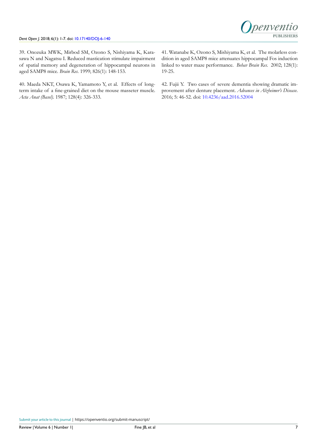

39. Onozuka MWK, Mirbod SM, Ozono S, Nishiyama K, Karasawa N and Nagatsu I. Reduced mastication stimulate impairment of spatial memory and degeneration of hippocampal neurons in aged SAMP8 mice. *Brain Res*. 1999; 826(1): 148-153.

<span id="page-8-1"></span><span id="page-8-0"></span>40. Maeda NKT, Osawa K, Yamamoto Y, et al. Effects of longterm intake of a fine-grained diet on the mouse masseter muscle. *Acta Anat (Basel)*. 1987; 128(4): 326-333.

41. Watanabe K, Ozono S, Mishiyama K, et al. The molarless condition in aged SAMP8 mice attenuates hippocampal Fos induction linked to water maze performance. *Behav Brain Res*. 2002; 128(1): 19-25.

<span id="page-8-2"></span>42. Fujii Y. Two cases of severe dementia showing dramatic improvement after denture placement. *Advances in Alzheimer's Disease*. 2016; 5: 46-52. doi: [10.4236/aad.2016.52004](http://dx.doi.org/10.4236/aad.2016.52004)

Submit your article to this journal | <https://openventio.org/submit-manuscript/>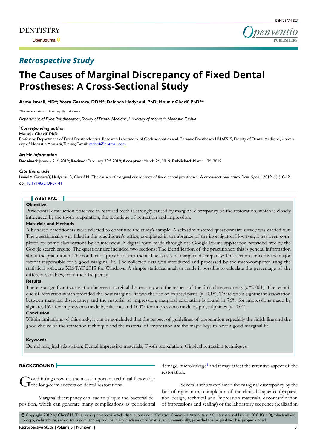**Open Journal**



# *Retrospective Study*

# **The Causes of Marginal Discrepancy of Fixed Dental Prostheses: A Cross-Sectional Study**

**Asma Ismail, MD\*; Yosra Gassara, DDM\*; Dalenda Hadyaoui, PhD; Mounir Cherif, PhD\*\***

\*This authors have contributed equally to this work

*Department of Fixed Prosthodontics, Faculty of Dental Medicine, University of Monastir, Monastir, Tunisia*

#### *\* Corresponding author* **Mounir Cherif, PhD**

Professor, Department of Fixed Prosthodontics, Research Laboratory of Occlusodontics and Ceramic Prostheses LR16ES15, Faculty of Dental Medicine, University of Monastir, Monastir, Tunisia; E-mail: mchrif@hotmail.com

#### *Article information*

**Received:** January 21st, 2019; **Revised:** February 23rd, 2019; **Accepted:** March 2nd, 2019; **Published:** March 12th, 2019

#### *Cite this article*

Ismail A, Gassara Y, Hadyaoui D, Cherif M. The causes of marginal discrepancy of fixed dental prostheses: A cross-sectional study. *Dent Open J*. 2019; 6(1): 8-12. doi: [10.17140/DOJ-6-141](http://dx.doi.org/10.17140/DOJ-6-141)

# **ABSTRACT**

# **Objective**

Periodontal destruction observed in restored teeth is strongly caused by marginal discrepancy of the restoration, which is closely influenced by the tooth preparation, the technique of retraction and impression.

#### **Materials and Methods**

A hundred practitioners were selected to constitute the study's sample. A self-administered questionnaire survey was carried out. The questionnaire was filled in the practitioner's office, completed in the absence of the investigator. However, it has been completed for some clarifications by an interview. A digital form made through the Google Forms application provided free by the Google search engine. The questionnaire included two sections: The identification of the practitioner: this is general information about the practitioner. The conduct of prosthetic treatment. The causes of marginal discrepancy: This section concerns the major factors responsible for a good marginal fit. The collected data was introduced and processed by the microcomputer using the statistical software XLSTAT 2015 for Windows. A simple statistical analysis made it possible to calculate the percentage of the different variables, from their frequency.

#### **Results**

There is a significant correlation between marginal discrepancy and the respect of the finish line geometry ( $p=0.001$ ). The technique of retraction which provided the best marginal fit was the use of expasyl paste  $(p=0.18)$ . There was a significant association between marginal discrepancy and the material of impression, marginal adaptation is found in 76% for impressions made by alginate, 45% for impressions made by silicone, and 100% for impressions made by polysulphides (*p*=0.01).

#### **Conclusion**

Within limitations of this study, it can be concluded that the respect of guidelines of preparation especially the finish line and the good choice of the retraction technique and the material of impression are the major keys to have a good marginal fit.

#### **Keywords**

Dental marginal adaptation; Dental impression materials; Tooth preparation; Gingival retraction techniques.

# **BACKGROUND**

ood fitting crown is the most important technical factors for  $\mathbf{J}$ the long-term success of dental restorations.

Marginal discrepancy can lead to plaque and bacterial deposition, which can generate many complications as periodontal damage, microleakage<sup>[1](#page-13-0)</sup> and it may affect the retentive aspect of the restoration.

Several authors explained the marginal discrepancy by the lack of rigor in the completion of the clinical sequence (preparation design, technical and impression materials, decontamination of impressions and sealing) or the laboratory sequence (realization

 $\circledcirc$  Copyright 2019 by Cherif M. This is an open-access article distributed under Creative Commons Attribution 4.0 International License (CC BY 4.0), which allows to copy, redistribute, remix, transform, and reproduce in any medium or format, even commercially, provided the original work is properly cited.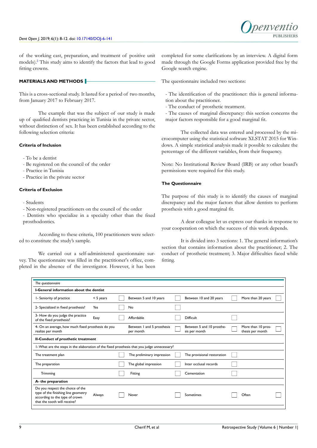

of the working cast, preparation, and treatment of positive unit models).[2](#page-13-1) This study aims to identify the factors that lead to good fitting crowns.

# **MATERIALS AND METHODS**

This is a cross-sectional study. It lasted for a period of two months, from January 2017 to February 2017.

The example that was the subject of our study is made up of qualified dentists practicing in Tunisia in the private sector, without distinction of sex. It has been established according to the following selection criteria:

### **Criteria of Inclusion**

- To be a dentist
- Be registered on the council of the order
- Practice in Tunisia
- Practice in the private sector

### **Criteria of Exclusion**

- Students
- Non-registered practitioners on the council of the order
- Dentists who specialize in a specialty other than the fixed prosthodontics.

According to these criteria, 100 practitioners were selected to constitute the study's sample.

We carried out a self-administered questionnaire survey. The questionnaire was filled in the practitioner's office, completed in the absence of the investigator. However, it has been

completed for some clarifications by an interview. A digital form made through the Google Forms application provided free by the Google search engine.

The questionnaire included two sections:

- The identification of the practitioner: this is general information about the practitioner.
- The conduct of prosthetic treatment.
- The causes of marginal discrepancy: this section concerns the major factors responsible for a good marginal fit.

The collected data was entered and processed by the microcomputer using the statistical software XLSTAT 2015 for Windows. A simple statistical analysis made it possible to calculate the percentage of the different variables, from their frequency.

Note: No Institutional Review Board (IRB) or any other board's permissions were required for this study.

# **The Questionnaire**

The purpose of this study is to identify the causes of marginal discrepancy and the major factors that allow dentists to perform prosthesis with a good marginal fit.

A dear colleague let us express our thanks in response to your cooperation on which the success of this work depends.

It is divided into 3 sections: 1. The general information's section that contains information about the practitioner; 2. The conduct of prosthetic treatment; 3. Major difficulties faced while fitting.

| The questionnaire                                                                                                                         |             |                                         |                                            |                                        |  |
|-------------------------------------------------------------------------------------------------------------------------------------------|-------------|-----------------------------------------|--------------------------------------------|----------------------------------------|--|
|                                                                                                                                           |             |                                         |                                            |                                        |  |
| I-General information about the dentist                                                                                                   |             |                                         |                                            |                                        |  |
| I-Seniority of practice                                                                                                                   | $< 5$ years | Between 5 and 10 years                  | Between 10 and 20 years                    | More than 20 years                     |  |
| 2- Specialized in fixed prosthesis?                                                                                                       | Yes         | No                                      |                                            |                                        |  |
| 3- How do you judge the practice<br>of the fixed prosthesis?                                                                              | Easy        | Affordable                              | Difficult                                  |                                        |  |
| 4- On an average, how much fixed prosthesis do you<br>realize per month                                                                   |             | Between 1 and 5 prosthesis<br>per month | Between 5 and 10 prosthe-<br>sis per month | More than 10 pros-<br>thesis per month |  |
| II-Conduct of prosthetic treatment                                                                                                        |             |                                         |                                            |                                        |  |
| I-What are the steps in the elaboration of the fixed prosthesis that you judge unnecessary?                                               |             |                                         |                                            |                                        |  |
| The treatment plan                                                                                                                        |             | The preliminary impression              | The provisional restoration                |                                        |  |
| The preparation                                                                                                                           |             | The global impression                   | Inter occlusal records                     |                                        |  |
| Trimming                                                                                                                                  |             | Fitting                                 | Cementation                                |                                        |  |
| A- the preparation                                                                                                                        |             |                                         |                                            |                                        |  |
| Do you respect the choice of the<br>type of the finishing line geometry<br>according to the type of crown<br>that the tooth will receive? | Always      | Never                                   | Sometimes                                  | Often                                  |  |
|                                                                                                                                           |             |                                         |                                            |                                        |  |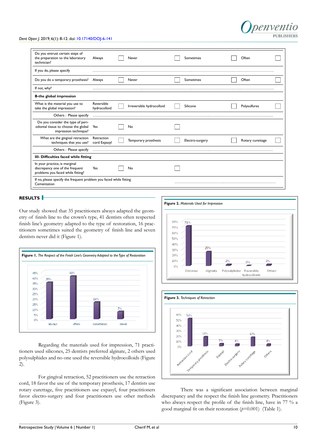#### *Dent Open J*. 2019; 6(1): 8-12. doi: [10.17140/DOJ-6-141](http://dx.doi.org/10.17140/DOJ-6-141)

| Do you entrust certain steps of<br>the preparation to the laboratory<br>technician?                   | Always                     | Never                     | Sometimes       | Often            |  |
|-------------------------------------------------------------------------------------------------------|----------------------------|---------------------------|-----------------|------------------|--|
| If you do, please specify                                                                             |                            |                           |                 |                  |  |
| Do you do a temporary prosthesis?                                                                     | Always                     | Never                     | Sometimes       | Often            |  |
| If not, why?                                                                                          |                            |                           |                 |                  |  |
| <b>B-the global impression</b>                                                                        |                            |                           |                 |                  |  |
| What is the material you use to<br>take the global impression?                                        | Reversible<br>hydrocolloid | Irreversible hydrocolloid | Silicone        | Polysulfures     |  |
| Others : Please specify                                                                               |                            |                           |                 |                  |  |
| Do you consider the type of peri-<br>odontal tissue to choose the global<br>impression technique?     | Yes                        | No                        |                 |                  |  |
| What are the gingival retraction<br>techniques that you use?                                          | Retraction<br>cord Expasyl | Temporary prosthesis      | Electro-surgery | Rotary curettage |  |
| Others: Please specify                                                                                |                            |                           |                 |                  |  |
| III- Difficulties faced while fitting                                                                 |                            |                           |                 |                  |  |
| In your practice, is marginal<br>discrepancy one of the frequent<br>problems you faced while fitting? | Yes                        | No                        |                 |                  |  |
| If no, please specify the frequent problem you faced while fitting<br>Cementation                     |                            |                           |                 |                  |  |

# **RESULTS**

Our study showed that 35 practitioners always adapted the geometry of finish line to the crown's type, 41 dentists often respected finish line's geometry adapted to the type of restoration, 16 practitioners sometimes suited the geometry of finish line and seven dentists never did it (Figure 1).



Regarding the materials used for impression, 71 practitioners used silicones, 25 dentists preferred alginate, 2 others used polysulphides and no one used the reversible hydrocolloids (Figure 2).

For gingival retraction, 52 practitioners use the retraction cord, 18 favor the use of the temporary prosthesis, 17 dentists use rotary curettage, five practitioners use expasyl, four practitioners favor electro-surgery and four practitioners use other methods (Figure 3).



nenventio

**PURLISHERS** 



There was a significant association between marginal discrepancy and the respect the finish line geometry. Practitioners who always respect the profile of the finish line, have in 77 % a good marginal fit on their restoration (*p*=0.001) (Table 1).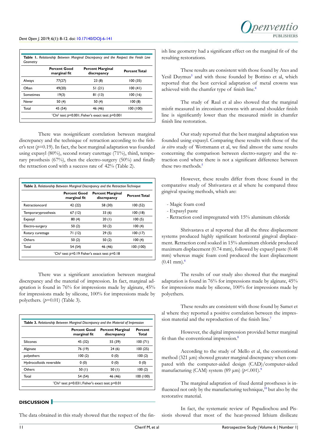

|           | <b>Percent Good</b><br>marginal fit | <b>Percent Marginal</b><br>discrepancy | <b>Percent Total</b> |
|-----------|-------------------------------------|----------------------------------------|----------------------|
| Always    | 77(27)                              | 23(8)                                  | 100(35)              |
| Often     | 49(20)                              | 51(21)                                 | 100(41)              |
| Sometimes | 19(3)                               | 81(13)                                 | 100(16)              |
| Never     | 50 $(4)$                            | 50 (4)                                 | 100(8)               |
| Total     | 45 (54)                             | 46 (46)                                | 100(100)             |

There was nosignificant correlation between marginal discrepancy and the technique of retraction according to the fisher's test  $(p=0.19)$ . In fact, the best marginal adaptation was founded using expasyl (80%), second rotary curettage (71%), third, temporary prosthesis (67%), then the electro-surgery (50%) and finally the retraction cord with a success rate of 42% (Table 2).

|                     | <b>Percent Good</b><br>marginal fit | <b>Percent Marginal</b><br>discrepancy | <b>Percent Total</b> |
|---------------------|-------------------------------------|----------------------------------------|----------------------|
| Retractioncord      | 42 (22)                             | 58 (30)                                | 100(52)              |
| Temporaryprosthesis | 67(12)                              | 33 (6)                                 | 100(18)              |
| Expasyl             | 80(4)                               | 20(1)                                  | 100(5)               |
| Electro-surgery     | 50(2)                               | 50 (2)                                 | 100(4)               |
| Rotary curettage    | 71 (12)                             | 29(5)                                  | 100(17)              |
| Others              | 50(2)                               | 50(2)                                  | 100(4)               |
| Total               | 54 (54)                             | 46 (46)                                | 100(100)             |

There was a significant association between marginal discrepancy and the material of impression. In fact, marginal adaptation is found in 76% for impressions made by alginate, 45% for impressions made by silicone, 100% for impressions made by polyethers. (*p*=0.01) (Table 3).

|                          | <b>Percent Good</b><br>marginal fit | <b>Percent Marginal</b><br>discrepancy | Percent<br>Total |
|--------------------------|-------------------------------------|----------------------------------------|------------------|
| Silicones                | 45 (32)                             | 55 (39)                                | 100(71)          |
| Alginate                 | 76 (19)                             | 24(6)                                  | 100(25)          |
| polyethers               | 100(2)                              | 0(0)                                   | 100(2)           |
| Hydrocolloids reversible | 0(0)                                | 0(0)                                   | 0(0)             |
| Others                   | 50(1)                               | 50 $(1)$                               | 100(2)           |
| Total                    | 54 (54)                             | 46 (46)                                | 100(100)         |

# **DISCUSSION**

The data obtained in this study showed that the respect of the fin-

ish line geometry had a significant effect on the marginal fit of the resulting restorations.

These results are consistent with those found by Ates and Yesil Duymus<sup>[3](#page-13-2)</sup> and with those founded by Bottino et al, which reported that the best cervical adaptation of metal crowns was achieved with the chamfer type of finish line.[4](#page-13-3)

The study of Raul et al also showed that the marginal misfit measured in zirconium crowns with around shoulder finish line is significantly lower than the measured misfit in chamfer finish line restoration.

Our study reported that the best marginal adaptation was founded using expasyl. Comparing these results with those of the *in vitro* study of Wottsmann et al, we find almost the same results concerning the comparison between electro-surgery and the retraction cord where there is not a significant difference between these two methods.<sup>5</sup>

However, these results differ from those found in the comparative study of Shrivastava et al where he compared three gingival spacing methods, which are:

- Magic foam cord
- Expasyl paste
- Retraction cord impregnated with 15% aluminum chloride

Shrivastava et al reported that all the three displacement systems produced highly significant horizontal gingival displacement. Retraction cord soaked in 15% aluminum chloride produced maximum displacement (0.74 mm), followed by expasyl paste (0.48 mm) whereas magic foam cord produced the least displacement  $(0.41$  mm $)$ .<sup>[6](#page-13-4)</sup>

The results of our study also showed that the marginal adaptation is found in 76% for impressions made by alginate, 45% for impressions made by silicone, 100% for impressions made by polyethers.

These results are consistent with those found by Samet et al where they reported a positive correlation between the impres-sion material and the reproduction of the finish line.<sup>[7](#page-13-5)</sup>

However, the digital impression provided better marginal fit than the conventional impression.[8](#page-13-6)

According to the study of Mello et al, the conventional method (321 μm) showed greater marginal discrepancy when compared with the computer-aided design (CAD)/computer-aided manufacturing (CAM) system (89 μm) (*p*<.001).[9](#page-13-7)

The marginal adaptation of fixed dental prostheses is influenced not only by the manufacturing technique, $10$  but also by the restorative material.

In fact, the systematic review of Papadiochou and Pissiotis showed that most of the heat-pressed lithium disilicate